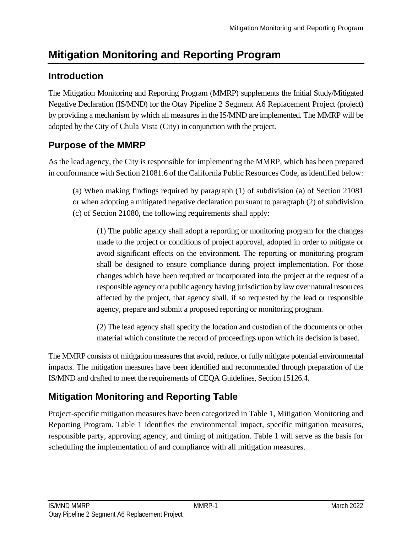# **Mitigation Monitoring and Reporting Program**

## **Introduction**

The Mitigation Monitoring and Reporting Program (MMRP) supplements the Initial Study/Mitigated Negative Declaration (IS/MND) for the Otay Pipeline 2 Segment A6 Replacement Project (project) by providing a mechanism by which all measures in the IS/MND are implemented. The MMRP will be adopted by the City of Chula Vista (City) in conjunction with the project.

## **Purpose of the MMRP**

As the lead agency, the City is responsible for implementing the MMRP, which has been prepared in conformance with Section 21081.6 of the California Public Resources Code, as identified below:

(a) When making findings required by paragraph (1) of subdivision (a) of Section 21081 or when adopting a mitigated negative declaration pursuant to paragraph (2) of subdivision (c) of Section 21080, the following requirements shall apply:

(1) The public agency shall adopt a reporting or monitoring program for the changes made to the project or conditions of project approval, adopted in order to mitigate or avoid significant effects on the environment. The reporting or monitoring program shall be designed to ensure compliance during project implementation. For those changes which have been required or incorporated into the project at the request of a responsible agency or a public agency having jurisdiction by law over natural resources affected by the project, that agency shall, if so requested by the lead or responsible agency, prepare and submit a proposed reporting or monitoring program.

(2) The lead agency shall specify the location and custodian of the documents or other material which constitute the record of proceedings upon which its decision is based.

The MMRP consists of mitigation measures that avoid, reduce, or fully mitigate potential environmental impacts. The mitigation measures have been identified and recommended through preparation of the IS/MND and drafted to meet the requirements of CEQA Guidelines, Section 15126.4.

## **Mitigation Monitoring and Reporting Table**

Project-specific mitigation measures have been categorized in Table 1, Mitigation Monitoring and Reporting Program. Table 1 identifies the environmental impact, specific mitigation measures, responsible party, approving agency, and timing of mitigation. Table 1 will serve as the basis for scheduling the implementation of and compliance with all mitigation measures.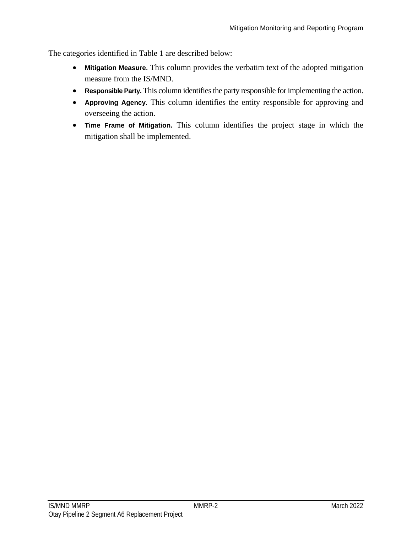The categories identified in Table 1 are described below:

- **Mitigation Measure.** This column provides the verbatim text of the adopted mitigation measure from the IS/MND.
- **Responsible Party.** This column identifies the party responsible for implementing the action.
- **Approving Agency.** This column identifies the entity responsible for approving and overseeing the action.
- **Time Frame of Mitigation.** This column identifies the project stage in which the mitigation shall be implemented.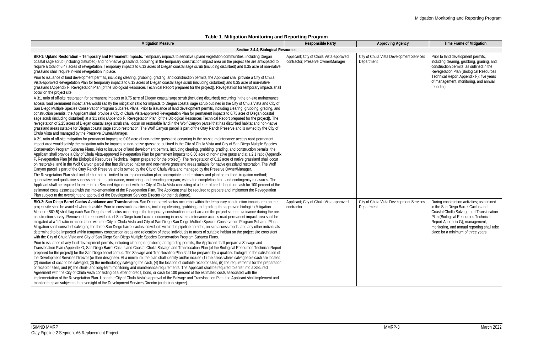## **Table 1. Mitigation Monitoring and Reporting Program**

| <b>Mitigation Measure</b>                                                                                                                                                                                                                                                                                                                                                                                                                                                                                                                                                                                                                                                                                                                                                                                                                                                                                                                                                                                                                                                                                                                                                                                                                                                                                                                                                                                                                                                                                                                                                                                                                                                                                                                                                                                                                                                                                                                                                                                                                                                                                                                                                                                                                                                                                                                                                                                                                                                                                                                                                                                                                                                                                                                                                                                                                                                                                                                                                                                                                                                                                                                                                                                                                                                                                                                                                                                                                                                                                                                                                                                                                                                                                                                                                                                                                                                                     | <b>Responsible Party</b>                                                      | <b>Approving Agency</b>                                | <b>Time Frame of Mitigation</b>                                                                                                                                                                                                                                                               |
|-----------------------------------------------------------------------------------------------------------------------------------------------------------------------------------------------------------------------------------------------------------------------------------------------------------------------------------------------------------------------------------------------------------------------------------------------------------------------------------------------------------------------------------------------------------------------------------------------------------------------------------------------------------------------------------------------------------------------------------------------------------------------------------------------------------------------------------------------------------------------------------------------------------------------------------------------------------------------------------------------------------------------------------------------------------------------------------------------------------------------------------------------------------------------------------------------------------------------------------------------------------------------------------------------------------------------------------------------------------------------------------------------------------------------------------------------------------------------------------------------------------------------------------------------------------------------------------------------------------------------------------------------------------------------------------------------------------------------------------------------------------------------------------------------------------------------------------------------------------------------------------------------------------------------------------------------------------------------------------------------------------------------------------------------------------------------------------------------------------------------------------------------------------------------------------------------------------------------------------------------------------------------------------------------------------------------------------------------------------------------------------------------------------------------------------------------------------------------------------------------------------------------------------------------------------------------------------------------------------------------------------------------------------------------------------------------------------------------------------------------------------------------------------------------------------------------------------------------------------------------------------------------------------------------------------------------------------------------------------------------------------------------------------------------------------------------------------------------------------------------------------------------------------------------------------------------------------------------------------------------------------------------------------------------------------------------------------------------------------------------------------------------------------------------------------------------------------------------------------------------------------------------------------------------------------------------------------------------------------------------------------------------------------------------------------------------------------------------------------------------------------------------------------------------------------------------------------------------------------------------------------------------|-------------------------------------------------------------------------------|--------------------------------------------------------|-----------------------------------------------------------------------------------------------------------------------------------------------------------------------------------------------------------------------------------------------------------------------------------------------|
| Section 3.4.4, Biological Resources                                                                                                                                                                                                                                                                                                                                                                                                                                                                                                                                                                                                                                                                                                                                                                                                                                                                                                                                                                                                                                                                                                                                                                                                                                                                                                                                                                                                                                                                                                                                                                                                                                                                                                                                                                                                                                                                                                                                                                                                                                                                                                                                                                                                                                                                                                                                                                                                                                                                                                                                                                                                                                                                                                                                                                                                                                                                                                                                                                                                                                                                                                                                                                                                                                                                                                                                                                                                                                                                                                                                                                                                                                                                                                                                                                                                                                                           |                                                                               |                                                        |                                                                                                                                                                                                                                                                                               |
| BIO-1: Upland Restoration - Temporary and Permanent Impacts. Temporary impacts to sensitive upland vegetation communities, including Diegan<br>coastal sage scrub (including disturbed) and non-native grassland, occurring in the temporary construction impact area on the project site are anticipated to<br>require a total of 6.47 acres of revegetation. Temporary impacts to 6.13 acres of Diegan coastal sage scrub (including disturbed) and 0.35 acre of non-native<br>grassland shall require in-kind revegetation in place.<br>Prior to issuance of land development permits, including clearing, grubbing, grading, and construction permits, the Applicant shall provide a City of Chula<br>Vista-approved Revegetation Plan for temporary impacts to 6.13 acres of Diegan coastal sage scrub (including disturbed) and 0.35 acre of non-native<br>grassland (Appendix F, Revegetation Plan [of the Biological Resources Technical Report prepared for the project]). Revegetation for temporary impacts shall<br>occur on the project site.<br>A 3:1 ratio of off-site restoration for permanent impacts to 0.75 acre of Diegan coastal sage scrub (including disturbed) occurring in the on-site maintenance<br>access road permanent impact area would satisfy the mitigation ratio for impacts to Diegan coastal sage scrub outlined in the City of Chula Vista and City of<br>San Diego Multiple Species Conservation Program Subarea Plans. Prior to issuance of land development permits, including clearing, grubbing, grading, and<br>construction permits, the Applicant shall provide a City of Chula Vista-approved Revegetation Plan for permanent impacts to 0.75 acre of Diegan coastal<br>sage scrub (including disturbed) at a 3:1 ratio (Appendix F, Revegetation Plan [of the Biological Resources Technical Report prepared for the project]). The<br>revegetation of 2.25 acres of Diegan coastal sage scrub shall occur on restorable land in the Wolf Canyon parcel that has disturbed habitat and non-native<br>grassland areas suitable for Diegan coastal sage scrub restoration. The Wolf Canyon parcel is part of the Otay Ranch Preserve and is owned by the City of<br>Chula Vista and managed by the Preserve Owner/Manager.<br>A 2:1 ratio of off-site mitigation for permanent impacts to 0.06 acre of non-native grassland occurring in the on-site maintenance access road permanent<br>impact area would satisfy the mitigation ratio for impacts to non-native grassland outlined in the City of Chula Vista and City of San Diego Multiple Species<br>Conservation Program Subarea Plans. Prior to issuance of land development permits, including clearing, grubbing, grading, and construction permits, the<br>Applicant shall provide a City of Chula Vista-approved Revegetation Plan for permanent impacts to 0.06 acre of non-native grassland at a 2:1 ratio (Appendix<br>F, Revegetation Plan [of the Biological Resources Technical Report prepared for the project]). The revegetation of 0.12 acre of native grassland shall occur<br>on restorable land in the Wolf Canyon parcel that has disturbed habitat and non-native grassland areas suitable for native grassland restoration. The Wolf<br>Canyon parcel is part of the Otay Ranch Preserve and is owned by the City of Chula Vista and managed by the Preserve Owner/Manager.<br>The Revegetation Plan shall include but not be limited to an implementation plan; appropriate seed mixtures and planting method; irrigation method;<br>quantitative and qualitative success criteria; maintenance, monitoring, and reporting program; estimated completion time; and contingency measures. The<br>Applicant shall be required to enter into a Secured Agreement with the City of Chula Vista consisting of a letter of credit, bond, or cash for 100 percent of the | Applicant; City of Chula Vista-approved<br>contractor; Preserve Owner/Manager | City of Chula Vista Development Services<br>Department | Prior to land development permits,<br>including clearing, grubbing, grading, and<br>construction permits; as outlined in the<br>Revegetation Plan (Biological Resources<br>Technical Report Appendix F); five years<br>of management, monitoring, and annual<br>reporting.                    |
| estimated costs associated with the implementation of the Revegetation Plan. The Applicant shall be required to prepare and implement the Revegetation<br>Plan subject to the oversight and approval of the Development Services Director (or their designee)<br>BIO-2: San Diego Barrel Cactus Avoidance and Translocation. San Diego barrel cactus occurring within the temporary construction impact area on the<br>project site shall be avoided where feasible. Prior to construction activities, including clearing, grubbing, and grading, the approved biologist (Mitigation<br>Measure BIO-5) shall flag each San Diego barrel cactus occurring in the temporary construction impact area on the project site for avoidance during the pre-<br>construction survey. Removal of three individuals of San Diego barrel cactus occurring in on-site maintenance access road permanent impact area shall be<br>mitigated at a 1:1 ratio in accordance with the City of Chula Vista and City of San Diego San Diego Multiple Species Conservation Program Subarea Plans.<br>Mitigation shall consist of salvaging the three San Diego barrel cactus individuals within the pipeline corridor, on-site access roads, and any other individuals<br>determined to be impacted within temporary construction areas and relocation of these individuals to areas of suitable habitat on the project site consistent<br>with the City of Chula Vista and City of San Diego San Diego Multiple Species Conservation Program Subarea Plans.<br>Prior to issuance of any land development permits, including clearing or grubbing and grading permits, the Applicant shall prepare a Salvage and<br>Translocation Plan (Appendix G, San Diego Barrel Cactus and Coastal Cholla Salvage and Translocation Plan [of the Biological Resources Technical Report<br>prepared for the project]) for the San Diego barrel cactus. The Salvage and Translocation Plan shall be prepared by a qualified biologist to the satisfaction of<br>the Development Services Director (or their designee). At a minimum, the plan shall identify and/or include (1) the areas where salvageable cacti are located,<br>(2) number of cacti to be salvaged, (3) the methodology salvaging the cacti, (4) the location of suitable receptor sites, (5) the requirements for the preparation<br>of receptor sites, and (6) the short- and long-term monitoring and maintenance requirements. The Applicant shall be required to enter into a Secured<br>Agreement with the City of Chula Vista consisting of a letter of credit, bond, or cash for 100 percent of the estimated costs associated with the<br>implementation of the Revegetation Plan. Upon the City of Chula Vista's approval of the Salvage and Translocation Plan, the Applicant shall implement and<br>monitor the plan subject to the oversight of the Development Services Director (or their designee).                                                                                                                                                                                                                                                                                                                                                                                                                                                                                                                                                                                                                                                                                                                                                                                                                                                                                                                                           | Applicant; City of Chula Vista-approved<br>contractor                         | City of Chula Vista Development Services<br>Department | During construction activities; as outlined<br>in the San Diego Barrel Cactus and<br>Coastal Cholla Salvage and Translocation<br>Plan (Biological Resources Technical<br>Report Appendix G); management<br>monitoring, and annual reporting shall take<br>place for a minimum of three years. |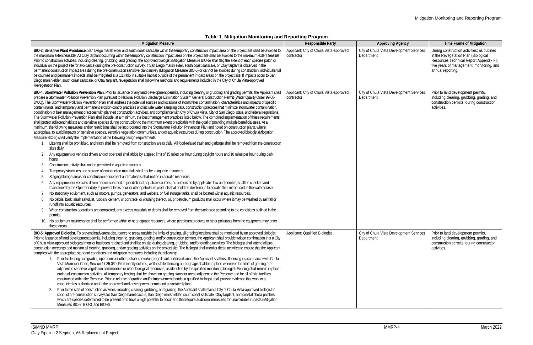#### IS/MND MMRP-4 March 2022 Otay Pipeline 2 Segment A6 Replacement Project

| Table 1. Mitigation Monitoring and Reporting Program                                                                                                                                                                                                                                                                                                                                                                                                                                                                                                                                                                                                                                                                                                                                                                                                                                                                                                                                                                                                                                                                                                                                                                                                                                                                                                                                                                                                                                                                                                                                                                                                                                                                                                                                                                                                                                                                                                                                                                                                                                                                                                                                                                                                                                                                                                                                                                                                                                                                                                                                                                                                                                                                                                                                                                                                                                                                                                                                                                                                                                                                                                                                                                                                                                                                                                       |                                                       |                                                        |                                                                                                                                                                                                  |
|------------------------------------------------------------------------------------------------------------------------------------------------------------------------------------------------------------------------------------------------------------------------------------------------------------------------------------------------------------------------------------------------------------------------------------------------------------------------------------------------------------------------------------------------------------------------------------------------------------------------------------------------------------------------------------------------------------------------------------------------------------------------------------------------------------------------------------------------------------------------------------------------------------------------------------------------------------------------------------------------------------------------------------------------------------------------------------------------------------------------------------------------------------------------------------------------------------------------------------------------------------------------------------------------------------------------------------------------------------------------------------------------------------------------------------------------------------------------------------------------------------------------------------------------------------------------------------------------------------------------------------------------------------------------------------------------------------------------------------------------------------------------------------------------------------------------------------------------------------------------------------------------------------------------------------------------------------------------------------------------------------------------------------------------------------------------------------------------------------------------------------------------------------------------------------------------------------------------------------------------------------------------------------------------------------------------------------------------------------------------------------------------------------------------------------------------------------------------------------------------------------------------------------------------------------------------------------------------------------------------------------------------------------------------------------------------------------------------------------------------------------------------------------------------------------------------------------------------------------------------------------------------------------------------------------------------------------------------------------------------------------------------------------------------------------------------------------------------------------------------------------------------------------------------------------------------------------------------------------------------------------------------------------------------------------------------------------------------------------|-------------------------------------------------------|--------------------------------------------------------|--------------------------------------------------------------------------------------------------------------------------------------------------------------------------------------------------|
| <b>Mitigation Measure</b>                                                                                                                                                                                                                                                                                                                                                                                                                                                                                                                                                                                                                                                                                                                                                                                                                                                                                                                                                                                                                                                                                                                                                                                                                                                                                                                                                                                                                                                                                                                                                                                                                                                                                                                                                                                                                                                                                                                                                                                                                                                                                                                                                                                                                                                                                                                                                                                                                                                                                                                                                                                                                                                                                                                                                                                                                                                                                                                                                                                                                                                                                                                                                                                                                                                                                                                                  | <b>Responsible Party</b>                              | <b>Approving Agency</b>                                | <b>Time Frame of Mitigation</b>                                                                                                                                                                  |
| BIO-3: Sensitive Plant Avoidance. San Diego marsh elder and south coast saltscale within the temporary construction impact area on the project site shall be avoided to<br>the maximum extent feasible. All Otay tarplant occurring within the temporary construction impact area on the project site shall be avoided to the maximum extent feasible.<br>Prior to construction activities, including clearing, grubbing, and grading, the approved biologist (Mitigation Measure BIO-5) shall flag the extent of each species patch or<br>individual on the project site for avoidance during the pre-construction survey. If San Diego marsh elder, south coast saltscale, or Otay tarplant is observed in the<br>permanent construction impact area during the pre-construction sensitive plant survey (Mitigation Measure BIO-5) or cannot be avoided during construction, individuals will<br>be counted and permanent impacts shall be mitigated at a 1:1 ratio in suitable habitat outside of the permanent impact areas on the project site. If impacts occur to San<br>Diego marsh elder, south coast saltscale, or Otay tarplant, revegetation shall follow the methods and requirements included in the City of Chula Vista-approved<br>Revegetation Plan.                                                                                                                                                                                                                                                                                                                                                                                                                                                                                                                                                                                                                                                                                                                                                                                                                                                                                                                                                                                                                                                                                                                                                                                                                                                                                                                                                                                                                                                                                                                                                                                                                                                                                                                                                                                                                                                                                                                                                                                                                                                                                      | Applicant; City of Chula Vista-approved<br>contractor | City of Chula Vista Development Services<br>Department | During construction activities; as outlined<br>in the Revegetation Plan (Biological<br>Resources Technical Report Appendix F);<br>five years of management, monitoring, and<br>annual reporting. |
| BIO-4: Stormwater Pollution Prevention Plan. Prior to issuance of any land development permits, including clearing or grubbing and grading permits, the Applicant shall<br>prepare a Stormwater Pollution Prevention Plan pursuant to National Pollution Discharge Elimination System General Construction Permit (Water Quality Order 99-08-<br>DWQ). The Stormwater Pollution Prevention Plan shall address the potential sources and locations of stormwater contamination, characteristics and impacts of specific<br>contaminants, and temporary and permanent erosion-control practices and include water sampling data, construction practices that minimize stormwater contamination,<br>coordination of best management practices with planned construction activities, and compliance with City of Chula Vista, City of San Diego, state, and federal regulations.<br>The Stormwater Pollution Prevention Plan shall include, at a minimum, the best management practices listed below. The combined implementation of these requirements<br>shall protect adjacent habitats and sensitive species during construction to the maximum extent practicable with the goal of providing multiple beneficial uses. At a<br>minimum, the following measures and/or restrictions shall be incorporated into the Stormwater Pollution Prevention Plan and noted on construction plans, where<br>appropriate, to avoid impacts on sensitive species, sensitive vegetation communities, and/or aquatic resources during construction. The approved biologist (Mitigation<br>Measure BIO-5) shall verify the implementation of the following design requirements:<br>Littering shall be prohibited, and trash shall be removed from construction areas daily. All food-related trash and garbage shall be removed from the construction<br>sites daily.<br>Any equipment or vehicles driven and/or operated shall abide by a speed limit of 15 miles per hour during daylight hours and 10 miles per hour during dark<br>hours.<br>Construction activity shall not be permitted in aquatic resources.<br>Temporary structures and storage of construction materials shall not be in aquatic resources.<br>Staging/storage areas for construction equipment and materials shall not be in aquatic resources.<br>Any equipment or vehicles driven and/or operated in jurisdictional aquatic resources, as authorized by applicable law and permits, shall be checked and<br>maintained by the Operator daily to prevent leaks of oil or other petroleum products that could be deleterious to aquatic life if introduced to the watercourse.<br>No stationary equipment, such as motors, pumps, generators, and welders, or fuel storage tanks, shall be located within aquatic resources.<br>No debris, bark, slash sawdust, rubbish, cement, or concrete, or washing thereof, oil, or petroleum products shall occur where it may be washed by rainfall or<br>runoff into aquatic resources.<br>When construction operations are completed, any excess materials or debris shall be removed from the work area according to the conditions outlined in the<br>9.<br>permits.<br>10. No equipment maintenance shall be performed within or near aquatic resources, where petroleum products or other pollutants from the equipment may enter<br>these areas. | Applicant; City of Chula Vista-approved<br>contractor | City of Chula Vista Development Services<br>Department | Prior to land development permits,<br>including clearing, grubbing, grading, and<br>construction permits; during construction<br>activities.                                                     |
| BIO-5: Approved Biologist. To prevent inadvertent disturbance to areas outside the limits of grading, all grading locations shall be monitored by an approved biologist.<br>Prior to issuance of land development permits, including clearing, grubbing, grading, and/or construction permits, the Applicant shall provide written confirmation that a City<br>of Chula Vista-approved biological monitor has been retained and shall be on site during clearing, grubbing, and/or grading activities. The biologist shall attend all pre-<br>construction meetings and monitor all clearing, grubbing, and/or grading activities on the project site. The biologist shall monitor these activities to ensure that the Applicant<br>complies with the appropriate standard conditions and mitigation measures, including the following:<br>1. Prior to clearing and grading operations or other activities involving significant soil disturbance, the Applicant shall install fencing in accordance with Chula<br>Vista Municipal Code, Section 17.35.030. Prominently colored, well-installed fencing and signage shall be in place wherever the limits of grading are<br>adjacent to sensitive vegetation communities or other biological resources, as identified by the qualified monitoring biologist. Fencing shall remain in place<br>during all construction activities. All temporary fencing shall be shown on grading plans for areas adjacent to the Preserve and for all off-site facilities<br>constructed within the Preserve. Prior to release of grading and/or improvement bonds, a qualified biologist shall provide evidence that work was<br>conducted as authorized under the approved land development permit and associated plans.<br>Prior to the start of construction activities, including clearing, grubbing, and grading, the Applicant shall retain a City of Chula Vista-approved biologist to<br>2.<br>conduct pre-construction surveys for San Diego barrel cactus, San Diego marsh elder, south coast saltscale, Otay tarplant, and coastal cholla patches,<br>which are species determined to be present or to have a high potential to occur and that require additional measures for unavoidable impacts (Mitigation<br>Measures BIO-2, BIO-3, and BIO-8).                                                                                                                                                                                                                                                                                                                                                                                                                                                                                                                                                                                                                                                                                                                                                                                                                                                                                                                                                                                                                                                          | Applicant; Qualified Biologist                        | City of Chula Vista Development Services<br>Department | Prior to land development permits,<br>including clearing, grubbing, grading, and<br>construction permits; during construction<br>activities.                                                     |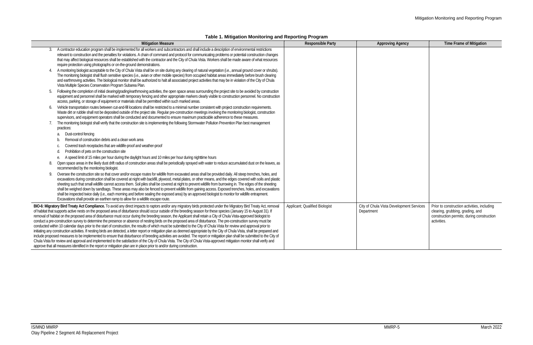### Mitigation Monitoring and Reporting Program

### **Table 1. Mitigation Monitoring and Reporting Program**

|    | <b>Mitigation Measure</b>                                                                                                                                                                                                                                                                                                                                                                                                                                                                                                                                                                                                                                                                                                                                                                                                                                                                                                                                                                                                                                                                                                                                                                                                                                                                                                                                                                                                                                                                                                                        | <b>Responsible Party</b>       | <b>Approving Agency</b>                                | <b>Time Frame of Mitigation</b>                                                                                                             |
|----|--------------------------------------------------------------------------------------------------------------------------------------------------------------------------------------------------------------------------------------------------------------------------------------------------------------------------------------------------------------------------------------------------------------------------------------------------------------------------------------------------------------------------------------------------------------------------------------------------------------------------------------------------------------------------------------------------------------------------------------------------------------------------------------------------------------------------------------------------------------------------------------------------------------------------------------------------------------------------------------------------------------------------------------------------------------------------------------------------------------------------------------------------------------------------------------------------------------------------------------------------------------------------------------------------------------------------------------------------------------------------------------------------------------------------------------------------------------------------------------------------------------------------------------------------|--------------------------------|--------------------------------------------------------|---------------------------------------------------------------------------------------------------------------------------------------------|
|    | A contractor education program shall be implemented for all workers and subcontractors and shall include a description of environmental restrictions<br>relevant to construction and the penalties for violations. A chain of command and protocol for communicating problems or potential construction changes<br>that may affect biological resources shall be established with the contractor and the City of Chula Vista. Workers shall be made aware of what resources<br>require protection using photographs or on-the-ground demonstrations.                                                                                                                                                                                                                                                                                                                                                                                                                                                                                                                                                                                                                                                                                                                                                                                                                                                                                                                                                                                             |                                |                                                        |                                                                                                                                             |
|    | A monitoring biologist acceptable to the City of Chula Vista shall be on site during any clearing of natural vegetation (i.e., annual ground cover or shrubs).<br>The monitoring biologist shall flush sensitive species (i.e., avian or other mobile species) from occupied habitat areas immediately before brush clearing<br>and earthmoving activities. The biological monitor shall be authorized to halt all associated project activities that may be in violation of the City of Chula<br>Vista Multiple Species Conservation Program Subarea Plan.                                                                                                                                                                                                                                                                                                                                                                                                                                                                                                                                                                                                                                                                                                                                                                                                                                                                                                                                                                                      |                                |                                                        |                                                                                                                                             |
| 5. | Following the completion of initial clearing/grading/earthmoving activities, the open space areas surrounding the project site to be avoided by construction<br>equipment and personnel shall be marked with temporary fencing and other appropriate markers clearly visible to construction personnel. No construction<br>access, parking, or storage of equipment or materials shall be permitted within such marked areas.                                                                                                                                                                                                                                                                                                                                                                                                                                                                                                                                                                                                                                                                                                                                                                                                                                                                                                                                                                                                                                                                                                                    |                                |                                                        |                                                                                                                                             |
|    | Vehicle transportation routes between cut-and-fill locations shall be restricted to a minimal number consistent with project construction requirements.<br>Waste dirt or rubble shall not be deposited outside of the project site. Regular pre-construction meetings involving the monitoring biologist, construction<br>supervisors, and equipment operators shall be conducted and documented to ensure maximum practicable adherence to these measures.                                                                                                                                                                                                                                                                                                                                                                                                                                                                                                                                                                                                                                                                                                                                                                                                                                                                                                                                                                                                                                                                                      |                                |                                                        |                                                                                                                                             |
|    | The monitoring biologist shall verify that the construction site is implementing the following Stormwater Pollution Prevention Plan best management<br>practices:                                                                                                                                                                                                                                                                                                                                                                                                                                                                                                                                                                                                                                                                                                                                                                                                                                                                                                                                                                                                                                                                                                                                                                                                                                                                                                                                                                                |                                |                                                        |                                                                                                                                             |
|    | Dust-control fencing<br>a.                                                                                                                                                                                                                                                                                                                                                                                                                                                                                                                                                                                                                                                                                                                                                                                                                                                                                                                                                                                                                                                                                                                                                                                                                                                                                                                                                                                                                                                                                                                       |                                |                                                        |                                                                                                                                             |
|    | Removal of construction debris and a clean work area                                                                                                                                                                                                                                                                                                                                                                                                                                                                                                                                                                                                                                                                                                                                                                                                                                                                                                                                                                                                                                                                                                                                                                                                                                                                                                                                                                                                                                                                                             |                                |                                                        |                                                                                                                                             |
|    | Covered trash receptacles that are wildlife-proof and weather-proof                                                                                                                                                                                                                                                                                                                                                                                                                                                                                                                                                                                                                                                                                                                                                                                                                                                                                                                                                                                                                                                                                                                                                                                                                                                                                                                                                                                                                                                                              |                                |                                                        |                                                                                                                                             |
|    | Prohibition of pets on the construction site                                                                                                                                                                                                                                                                                                                                                                                                                                                                                                                                                                                                                                                                                                                                                                                                                                                                                                                                                                                                                                                                                                                                                                                                                                                                                                                                                                                                                                                                                                     |                                |                                                        |                                                                                                                                             |
|    | A speed limit of 15 miles per hour during the daylight hours and 10 miles per hour during nighttime hours                                                                                                                                                                                                                                                                                                                                                                                                                                                                                                                                                                                                                                                                                                                                                                                                                                                                                                                                                                                                                                                                                                                                                                                                                                                                                                                                                                                                                                        |                                |                                                        |                                                                                                                                             |
|    | Open space areas in the likely dust drift radius of construction areas shall be periodically sprayed with water to reduce accumulated dust on the leaves, as<br>recommended by the monitoring biologist.                                                                                                                                                                                                                                                                                                                                                                                                                                                                                                                                                                                                                                                                                                                                                                                                                                                                                                                                                                                                                                                                                                                                                                                                                                                                                                                                         |                                |                                                        |                                                                                                                                             |
| 9. | Oversee the construction site so that cover and/or escape routes for wildlife from excavated areas shall be provided daily. All steep trenches, holes, and<br>excavations during construction shall be covered at night with backfill, plywood, metal plates, or other means, and the edges covered with soils and plastic<br>sheeting such that small wildlife cannot access them. Soil piles shall be covered at night to prevent wildlife from burrowing in. The edges of the sheeting<br>shall be weighed down by sandbags. These areas may also be fenced to prevent wildlife from gaining access. Exposed trenches, holes, and excavations<br>shall be inspected twice daily (i.e., each morning and before sealing the exposed area) by an approved biologist to monitor for wildlife entrapment.<br>Excavations shall provide an earthen ramp to allow for a wildlife escape route.                                                                                                                                                                                                                                                                                                                                                                                                                                                                                                                                                                                                                                                      |                                |                                                        |                                                                                                                                             |
|    | BIO-6: Migratory Bird Treaty Act Compliance. To avoid any direct impacts to raptors and/or any migratory birds protected under the Migratory Bird Treaty Act, removal<br>of habitat that supports active nests on the proposed area of disturbance should occur outside of the breeding season for these species (January 15 to August 31). If<br>removal of habitat on the proposed area of disturbance must occur during the breeding season, the Applicant shall retain a City of Chula Vista-approved biologist to<br>conduct a pre-construction survey to determine the presence or absence of nesting birds on the proposed area of disturbance. The pre-construction survey must be<br>conducted within 10 calendar days prior to the start of construction, the results of which must be submitted to the City of Chula Vista for review and approval prior to<br>initiating any construction activities. If nesting birds are detected, a letter report or mitigation plan as deemed appropriate by the City of Chula Vista, shall be prepared and<br>include proposed measures to be implemented to ensure that disturbance of breeding activities are avoided. The report or mitigation plan shall be submitted to the City of<br>Chula Vista for review and approval and implemented to the satisfaction of the City of Chula Vista. The City of Chula Vista-approved mitigation monitor shall verify and<br>approve that all measures identified in the report or mitigation plan are in place prior to and/or during construction. | Applicant; Qualified Biologist | City of Chula Vista Development Services<br>Department | Prior to construction activities, including<br>clearing, grubbing, grading, and<br>construction permits; during construction<br>activities. |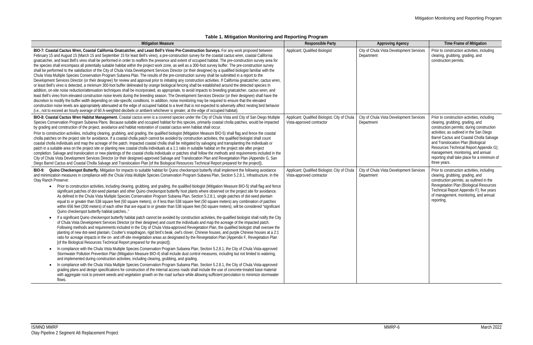|  | Table 1. Mitigation Monitoring and Reporting Program |  |  |
|--|------------------------------------------------------|--|--|
|--|------------------------------------------------------|--|--|

| <b>Mitigation Measure</b>                                                                                                                                                                                                                                                                                                                                                                                                                                                                                                                                                                                                                                                                                                                                                                                                                                                                                                                                                                                                                                                                                                                                                                                                                                                                                                                                                                                                                                                                                                                                                                                                                                                                                                                                                                                                                                                                                                                                                                                                                                                                                                                                                                                                                                                                                                                                                                                                                                                                                                                                                                                                                                                                                                                                                                                                     | <b>Responsible Party</b>                                                   | <b>Approving Agency</b>                                | Time Frame of Mitigation                                                                                                                                                                                                                                                                                                                                                                                   |
|-------------------------------------------------------------------------------------------------------------------------------------------------------------------------------------------------------------------------------------------------------------------------------------------------------------------------------------------------------------------------------------------------------------------------------------------------------------------------------------------------------------------------------------------------------------------------------------------------------------------------------------------------------------------------------------------------------------------------------------------------------------------------------------------------------------------------------------------------------------------------------------------------------------------------------------------------------------------------------------------------------------------------------------------------------------------------------------------------------------------------------------------------------------------------------------------------------------------------------------------------------------------------------------------------------------------------------------------------------------------------------------------------------------------------------------------------------------------------------------------------------------------------------------------------------------------------------------------------------------------------------------------------------------------------------------------------------------------------------------------------------------------------------------------------------------------------------------------------------------------------------------------------------------------------------------------------------------------------------------------------------------------------------------------------------------------------------------------------------------------------------------------------------------------------------------------------------------------------------------------------------------------------------------------------------------------------------------------------------------------------------------------------------------------------------------------------------------------------------------------------------------------------------------------------------------------------------------------------------------------------------------------------------------------------------------------------------------------------------------------------------------------------------------------------------------------------------|----------------------------------------------------------------------------|--------------------------------------------------------|------------------------------------------------------------------------------------------------------------------------------------------------------------------------------------------------------------------------------------------------------------------------------------------------------------------------------------------------------------------------------------------------------------|
| BIO-7: Coastal Cactus Wren, Coastal California Gnatcatcher, and Least Bell's Vireo Pre-Construction Surveys. For any work proposed between<br>February 15 and August 15 (March 15 and September 15 for least Bell's vireo), a pre-construction survey for the coastal cactus wren, coastal California<br>gnatcatcher, and least Bell's vireo shall be performed in order to reaffirm the presence and extent of occupied habitat. The pre-construction survey area for<br>the species shall encompass all potentially suitable habitat within the project work zone, as well as a 300-foot survey buffer. The pre-construction survey<br>shall be performed to the satisfaction of the City of Chula Vista Development Services Director (or their designee) by a qualified biologist familiar with the<br>Chula Vista Multiple Species Conservation Program Subarea Plan. The results of the pre-construction survey shall be submitted in a report to the<br>Development Services Director (or their designee) for review and approval prior to initiating any construction activities. If California gnatcatcher, cactus wren,<br>or least Bell's vireo is detected, a minimum 300-foot buffer delineated by orange biological fencing shall be established around the detected species In<br>addition, on-site noise reduction/attenuation techniques shall be incorporated, as appropriate, to avoid impacts to breeding gnatcatcher, cactus wren, and<br>least Bell's vireo from elevated construction noise levels during the breeding season. The Development Services Director (or their designee) shall have the<br>discretion to modify the buffer width depending on site-specific conditions. In addition, noise monitoring may be required to ensure that the elevated<br>construction noise levels are appropriately attenuated at the edge of occupied habitat to a level that is not expected to adversely affect nesting bird behavior<br>(i.e., not to exceed an hourly average of 60 A-weighted decibels or ambient whichever is greater, at the edge of occupied habitat).                                                                                                                                                                                                                                                                                                                                                                                                                                                                                                                                                                                                                                                                                                                               | Applicant; Qualified Biologist                                             | City of Chula Vista Development Services<br>Department | Prior to construction activities, including<br>clearing, grubbing, grading, and<br>construction permits.                                                                                                                                                                                                                                                                                                   |
| BIO-8: Coastal Cactus Wren Habitat Management. Coastal cactus wren is a covered species under the City of Chula Vista and City of San Diego Multiple<br>Species Conservation Program Subarea Plans. Because suitable and occupied habitat for this species, primarily coastal cholla patches, would be impacted<br>by grading and construction of the project, avoidance and habitat restoration of coastal cactus wren habitat shall occur.<br>Prior to construction activities, including clearing, grubbing, and grading, the qualified biologist (Mitigation Measure BIO-5) shall flag and fence the coastal<br>cholla patches on the project site for avoidance. If a coastal cholla patch cannot be avoided by construction activities, the qualified biologist shall count<br>coastal cholla individuals and map the acreage of the patch. Impacted coastal cholla shall be mitigated by salvaging and transplanting the individuals or<br>patch in a suitable area on the project site or planting new coastal cholla individuals at a 1:1 ratio in suitable habitat on the project site after project<br>completion. Salvage and translocation or new plantings of the coastal cholla individuals or patches shall follow the methods and requirements included in the<br>City of Chula Vista Development Services Director (or their designee)-approved Salvage and Translocation Plan and Revegetation Plan (Appendix G, San<br>Diego Barrel Cactus and Coastal Cholla Salvage and Translocation Plan [of the Biological Resources Technical Report prepared for the project]).                                                                                                                                                                                                                                                                                                                                                                                                                                                                                                                                                                                                                                                                                                                                                                                                                                                                                                                                                                                                                                                                                                                                                                                                                                    | Applicant; Qualified Biologist; City of Chula<br>Vista-approved contractor | City of Chula Vista Development Services<br>Department | Prior to construction activities, including<br>clearing, grubbing, grading, and<br>construction permits; during construction<br>activities; as outlined in the San Diego<br>Barrel Cactus and Coastal Cholla Salvage<br>and Translocation Plan (Biological<br>Resources Technical Report Appendix G);<br>management, monitoring, and annual<br>reporting shall take place for a minimum of<br>three years. |
| BIO-9: Quino Checkerspot Butterfly. Mitigation for impacts to suitable habitat for Quino checkerspot butterfly shall implement the following avoidance<br>and minimization measures in compliance with the Chula Vista Multiple Species Conservation Program Subarea Plan, Section 5.2.8.1, Infrastructure, in the<br>Otay Ranch Preserve:<br>• Prior to construction activities, including clearing, grubbing, and grading, the qualified biologist (Mitigation Measure BIO-5) shall flag and fence<br>significant patches of dot-seed plantain and other Quino checkerspot butterfly host plants where observed on the project site for avoidance.<br>As defined in the Chula Vista Multiple Species Conservation Program Subarea Plan, Section 5.2.8.1, single patches of dot-seed plantain<br>equal to or greater than 538 square feet (50 square meters), or if less than 538 square feet (50 square meters) any combination of patches<br>within 656 feet (200 meters) of each other that are equal to or greater than 538 square feet (50 square meters), will be considered "significant<br>Quino checkerspot butterfly habitat patches"<br>If a significant Quino checkerspot butterfly habitat patch cannot be avoided by construction activities, the qualified biologist shall notify the City<br>of Chula Vista Development Services Director (or their designee) and count the individuals and map the acreage of the impacted patch.<br>Following methods and requirements included in the City of Chula Vista-approved Revegetation Plan, the qualified biologist shall oversee the<br>planting of new dot-seed plantain, Coulter's snapdragon, rigid bird's beak, owl's clover, Chinese houses, and purple Chinese houses at a 2:1<br>ratio for acreage impacts in the on- and off-site revegetation areas as designated by the Revegetation Plan (Appendix F, Revegetation Plan<br>[of the Biological Resources Technical Report prepared for the project]).<br>In compliance with the Chula Vista Multiple Species Conservation Program Subarea Plan, Section 5.2.8.1, the City of Chula Vista-approved<br>Stormwater Pollution Prevention Plan (Mitigation Measure BIO-4) shall include dust control measures, including but not limited to watering,<br>and implemented during construction activities, including clearing, grubbing, and grading.<br>In compliance with the Chula Vista Multiple Species Conservation Program Subarea Plan, Section 5.2.8.1, the City of Chula Vista-approved<br>grading plans and design specifications for construction of the internal access roads shall include the use of concrete-treated base material<br>with aggregate rock to prevent weeds and vegetation growth on the road surface while allowing sufficient percolation to minimize stormwater<br>flows. | Applicant; Qualified Biologist; City of Chula<br>Vista-approved contractor | City of Chula Vista Development Services<br>Department | Prior to construction activities, including<br>clearing, grubbing, grading, and<br>construction permits; as outlined in the<br>Revegetation Plan (Biological Resources<br>Technical Report Appendix F); five years<br>of management, monitoring, and annual<br>reporting.                                                                                                                                  |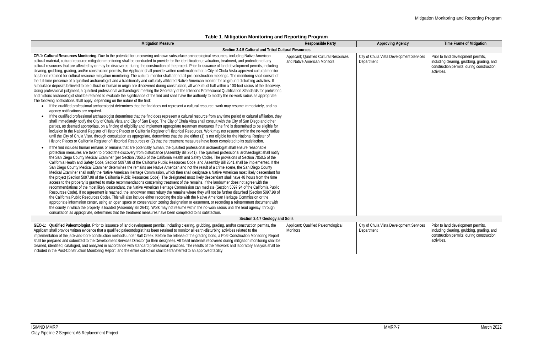## **Table 1. Mitigation Monitoring and Reporting Program**

| <b>Mitigation Measure</b>                                                                                                                                                                                                                                                                                                                                                                                                                                                                                                                                                                                                                                                                                                                                                                                                                                                                                                                                                                                                                                                                                                                                                                                                                                                                                                                                                                                                                                                                                                                                                                                                                                                                                                                                                                                                                                                                                                                                                                                                                                                                                                                                                                                                                                                                                                                                                                                                                                                                                                                                                                                                                                                                                                                                                                                                                                                                                                                                                                                                                                                                                                                                                                                                                                                                                                                                                                                                                                                                                                                                                                                                                                                                                                                                                                                                                                                                                                                                                                                                                                                                                                                                                                                                                                                                                                                                                                                                                                                                                                                                                                                                                                                             | <b>Responsible Party</b>                                                | <b>Approving Agency</b>                                | Time Frame of Mitigation                                                                                                                     |
|---------------------------------------------------------------------------------------------------------------------------------------------------------------------------------------------------------------------------------------------------------------------------------------------------------------------------------------------------------------------------------------------------------------------------------------------------------------------------------------------------------------------------------------------------------------------------------------------------------------------------------------------------------------------------------------------------------------------------------------------------------------------------------------------------------------------------------------------------------------------------------------------------------------------------------------------------------------------------------------------------------------------------------------------------------------------------------------------------------------------------------------------------------------------------------------------------------------------------------------------------------------------------------------------------------------------------------------------------------------------------------------------------------------------------------------------------------------------------------------------------------------------------------------------------------------------------------------------------------------------------------------------------------------------------------------------------------------------------------------------------------------------------------------------------------------------------------------------------------------------------------------------------------------------------------------------------------------------------------------------------------------------------------------------------------------------------------------------------------------------------------------------------------------------------------------------------------------------------------------------------------------------------------------------------------------------------------------------------------------------------------------------------------------------------------------------------------------------------------------------------------------------------------------------------------------------------------------------------------------------------------------------------------------------------------------------------------------------------------------------------------------------------------------------------------------------------------------------------------------------------------------------------------------------------------------------------------------------------------------------------------------------------------------------------------------------------------------------------------------------------------------------------------------------------------------------------------------------------------------------------------------------------------------------------------------------------------------------------------------------------------------------------------------------------------------------------------------------------------------------------------------------------------------------------------------------------------------------------------------------------------------------------------------------------------------------------------------------------------------------------------------------------------------------------------------------------------------------------------------------------------------------------------------------------------------------------------------------------------------------------------------------------------------------------------------------------------------------------------------------------------------------------------------------------------------------------------------------------------------------------------------------------------------------------------------------------------------------------------------------------------------------------------------------------------------------------------------------------------------------------------------------------------------------------------------------------------------------------------------------------------------------------------------------------------------|-------------------------------------------------------------------------|--------------------------------------------------------|----------------------------------------------------------------------------------------------------------------------------------------------|
| Section 3.4.5 Cultural and Tribal Cultural Resources                                                                                                                                                                                                                                                                                                                                                                                                                                                                                                                                                                                                                                                                                                                                                                                                                                                                                                                                                                                                                                                                                                                                                                                                                                                                                                                                                                                                                                                                                                                                                                                                                                                                                                                                                                                                                                                                                                                                                                                                                                                                                                                                                                                                                                                                                                                                                                                                                                                                                                                                                                                                                                                                                                                                                                                                                                                                                                                                                                                                                                                                                                                                                                                                                                                                                                                                                                                                                                                                                                                                                                                                                                                                                                                                                                                                                                                                                                                                                                                                                                                                                                                                                                                                                                                                                                                                                                                                                                                                                                                                                                                                                                  |                                                                         |                                                        |                                                                                                                                              |
| CR-1: Cultural Resources Monitoring. Due to the potential for uncovering unknown subsurface archaeological resources, including Native American<br>cultural material, cultural resource mitigation monitoring shall be conducted to provide for the identification, evaluation, treatment, and protection of any<br>cultural resources that are affected by or may be discovered during the construction of the project. Prior to issuance of land development permits, including<br>clearing, grubbing, grading, and/or construction permits, the Applicant shall provide written confirmation that a City of Chula Vista-approved cultural monitor<br>has been retained for cultural resource mitigation monitoring. The cultural monitor shall attend all pre-construction meetings. The monitoring shall consist of<br>the full-time presence of a qualified archaeologist and a traditionally and culturally affiliated Native American monitor for all ground-disturbing activities. If<br>subsurface deposits believed to be cultural or human in origin are discovered during construction, all work must halt within a 100-foot radius of the discovery.<br>Using professional judgment, a qualified professional archaeologist meeting the Secretary of the Interior's Professional Qualification Standards for prehistoric<br>and historic archaeologist shall be retained to evaluate the significance of the find and shall have the authority to modify the no-work radius as appropriate.<br>The following notifications shall apply, depending on the nature of the find:<br>• If the qualified professional archaeologist determines that the find does not represent a cultural resource, work may resume immediately, and no<br>agency notifications are required.<br>If the qualified professional archaeologist determines that the find does represent a cultural resource from any time period or cultural affiliation, they<br>shall immediately notify the City of Chula Vista and City of San Diego. The City of Chula Vista shall consult with the City of San Diego and other<br>parties, as deemed appropriate, on a finding of eligibility and implement appropriate treatment measures if the find is determined to be eligible for<br>inclusion in the National Register of Historic Places or California Register of Historical Resources. Work may not resume within the no-work radius<br>until the City of Chula Vista, through consultation as appropriate, determines that the site either (1) is not eligible for the National Register of<br>Historic Places or California Register of Historical Resources or (2) that the treatment measures have been completed to its satisfaction.<br>If the find includes human remains or remains that are potentially human, the qualified professional archaeologist shall ensure reasonable<br>protection measures are taken to protect the discovery from disturbance (Assembly Bill 2641). The qualified professional archaeologist shall notify<br>the San Diego County Medical Examiner (per Section 7050.5 of the California Health and Safety Code). The provisions of Section 7050.5 of the<br>California Health and Safety Code, Section 5097.98 of the California Public Resources Code, and Assembly Bill 2641 shall be implemented. If the<br>San Diego County Medical Examiner determines the remains are Native American and not the result of a crime scene, the San Diego County<br>Medical Examiner shall notify the Native American Heritage Commission, which then shall designate a Native American most likely descendant for<br>the project (Section 5097.98 of the California Public Resources Code). The designated most likely descendant shall have 48 hours from the time<br>access to the property is granted to make recommendations concerning treatment of the remains. If the landowner does not agree with the<br>recommendations of the most likely descendant, the Native American Heritage Commission can mediate (Section 5097.94 of the California Public<br>Resources Code). If no agreement is reached, the landowner must rebury the remains where they will not be further disturbed (Section 5097.98 of<br>the California Public Resources Code). This will also include either recording the site with the Native American Heritage Commission or the<br>appropriate information center, using an open space or conservation zoning designation or easement, or recording a reinternment document with<br>the county in which the property is located (Assembly Bill 2641). Work may not resume within the no-work radius until the lead agency, through | Applicant; Qualified Cultural Resources<br>and Native American Monitors | City of Chula Vista Development Services<br>Department | Prior to land development permits,<br>including clearing, grubbing, grading, and<br>construction permits; during construction<br>activities. |
| consultation as appropriate, determines that the treatment measures have been completed to its satisfaction.<br>Section 3.4.7 Geology and Soils                                                                                                                                                                                                                                                                                                                                                                                                                                                                                                                                                                                                                                                                                                                                                                                                                                                                                                                                                                                                                                                                                                                                                                                                                                                                                                                                                                                                                                                                                                                                                                                                                                                                                                                                                                                                                                                                                                                                                                                                                                                                                                                                                                                                                                                                                                                                                                                                                                                                                                                                                                                                                                                                                                                                                                                                                                                                                                                                                                                                                                                                                                                                                                                                                                                                                                                                                                                                                                                                                                                                                                                                                                                                                                                                                                                                                                                                                                                                                                                                                                                                                                                                                                                                                                                                                                                                                                                                                                                                                                                                       |                                                                         |                                                        |                                                                                                                                              |
| GEO-1: Qualified Paleontologist. Prior to issuance of land development permits, including clearing, grubbing, grading, and/or construction permits, the<br>Applicant shall provide written evidence that a qualified paleontologist has been retained to monitor all earth-disturbing activities related to the<br>implementation of the jack-and-bore construction methods under Salt Creek. Before the release of the grading bond, a Post-Construction Monitoring Report<br>shall be prepared and submitted to the Development Services Director (or their designee). All fossil materials recovered during mitigation monitoring shall be<br>cleaned, identified, cataloged, and analyzed in accordance with standard professional practices. The results of the fieldwork and laboratory analysis shall be<br>included in the Post-Construction Monitoring Report, and the entire collection shall be transferred to an approved facility.                                                                                                                                                                                                                                                                                                                                                                                                                                                                                                                                                                                                                                                                                                                                                                                                                                                                                                                                                                                                                                                                                                                                                                                                                                                                                                                                                                                                                                                                                                                                                                                                                                                                                                                                                                                                                                                                                                                                                                                                                                                                                                                                                                                                                                                                                                                                                                                                                                                                                                                                                                                                                                                                                                                                                                                                                                                                                                                                                                                                                                                                                                                                                                                                                                                                                                                                                                                                                                                                                                                                                                                                                                                                                                                                       | Applicant; Qualified Paleontological<br><b>Monitors</b>                 | City of Chula Vista Development Services<br>Department | Prior to land development permits,<br>including clearing, grubbing, grading, and<br>construction permits; during construction<br>activities. |